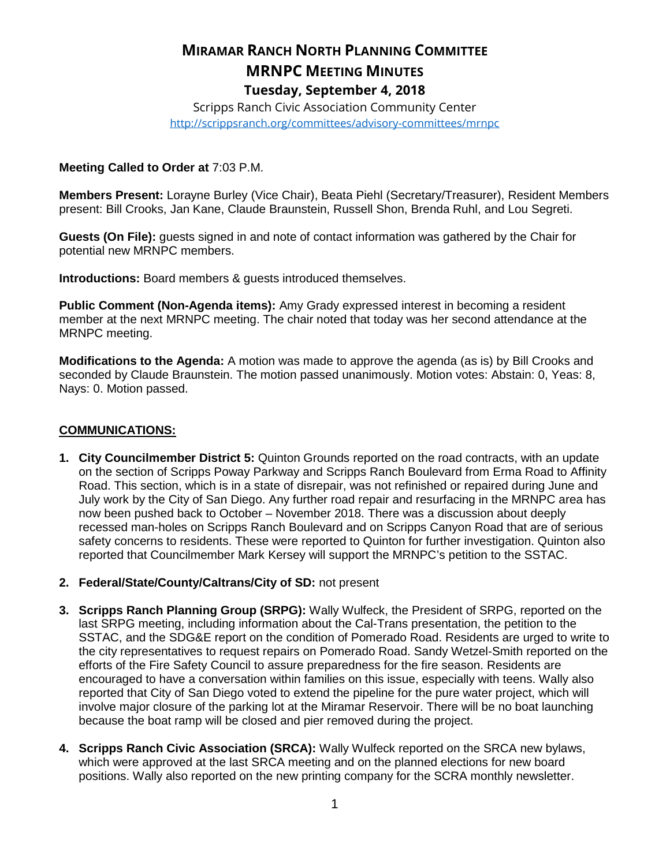# **MIRAMAR RANCH NORTH PLANNING COMMITTEE MRNPC MEETING MINUTES Tuesday, September 4, 2018**

Scripps Ranch Civic Association Community Center <http://scrippsranch.org/committees/advisory-committees/mrnpc>

#### **Meeting Called to Order at** 7:03 P.M.

**Members Present:** Lorayne Burley (Vice Chair), Beata Piehl (Secretary/Treasurer), Resident Members present: Bill Crooks, Jan Kane, Claude Braunstein, Russell Shon, Brenda Ruhl, and Lou Segreti.

**Guests (On File):** guests signed in and note of contact information was gathered by the Chair for potential new MRNPC members.

**Introductions:** Board members & guests introduced themselves.

**Public Comment (Non-Agenda items):** Amy Grady expressed interest in becoming a resident member at the next MRNPC meeting. The chair noted that today was her second attendance at the MRNPC meeting.

**Modifications to the Agenda:** A motion was made to approve the agenda (as is) by Bill Crooks and seconded by Claude Braunstein. The motion passed unanimously. Motion votes: Abstain: 0, Yeas: 8, Nays: 0. Motion passed.

#### **COMMUNICATIONS:**

- **1. City Councilmember District 5:** Quinton Grounds reported on the road contracts, with an update on the section of Scripps Poway Parkway and Scripps Ranch Boulevard from Erma Road to Affinity Road. This section, which is in a state of disrepair, was not refinished or repaired during June and July work by the City of San Diego. Any further road repair and resurfacing in the MRNPC area has now been pushed back to October – November 2018. There was a discussion about deeply recessed man-holes on Scripps Ranch Boulevard and on Scripps Canyon Road that are of serious safety concerns to residents. These were reported to Quinton for further investigation. Quinton also reported that Councilmember Mark Kersey will support the MRNPC's petition to the SSTAC.
- **2. Federal/State/County/Caltrans/City of SD:** not present
- **3. Scripps Ranch Planning Group (SRPG):** Wally Wulfeck, the President of SRPG, reported on the last SRPG meeting, including information about the Cal-Trans presentation, the petition to the SSTAC, and the SDG&E report on the condition of Pomerado Road. Residents are urged to write to the city representatives to request repairs on Pomerado Road. Sandy Wetzel-Smith reported on the efforts of the Fire Safety Council to assure preparedness for the fire season. Residents are encouraged to have a conversation within families on this issue, especially with teens. Wally also reported that City of San Diego voted to extend the pipeline for the pure water project, which will involve major closure of the parking lot at the Miramar Reservoir. There will be no boat launching because the boat ramp will be closed and pier removed during the project.
- **4. Scripps Ranch Civic Association (SRCA):** Wally Wulfeck reported on the SRCA new bylaws, which were approved at the last SRCA meeting and on the planned elections for new board positions. Wally also reported on the new printing company for the SCRA monthly newsletter.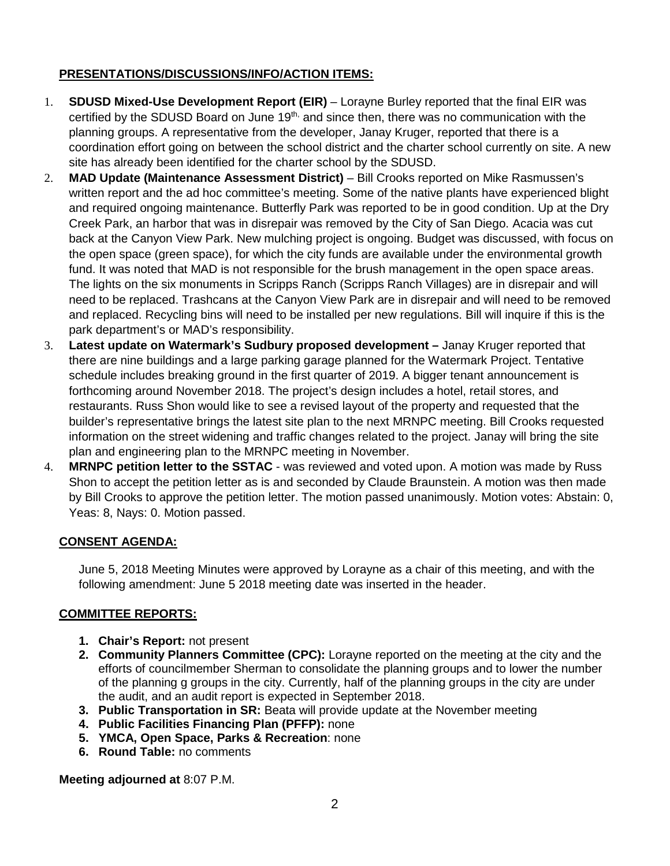## **PRESENTATIONS/DISCUSSIONS/INFO/ACTION ITEMS:**

- 1. **SDUSD Mixed-Use Development Report (EIR)** Lorayne Burley reported that the final EIR was certified by the SDUSD Board on June  $19<sup>th</sup>$ , and since then, there was no communication with the planning groups. A representative from the developer, Janay Kruger, reported that there is a coordination effort going on between the school district and the charter school currently on site. A new site has already been identified for the charter school by the SDUSD.
- 2. **MAD Update (Maintenance Assessment District)** Bill Crooks reported on Mike Rasmussen's written report and the ad hoc committee's meeting. Some of the native plants have experienced blight and required ongoing maintenance. Butterfly Park was reported to be in good condition. Up at the Dry Creek Park, an harbor that was in disrepair was removed by the City of San Diego. Acacia was cut back at the Canyon View Park. New mulching project is ongoing. Budget was discussed, with focus on the open space (green space), for which the city funds are available under the environmental growth fund. It was noted that MAD is not responsible for the brush management in the open space areas. The lights on the six monuments in Scripps Ranch (Scripps Ranch Villages) are in disrepair and will need to be replaced. Trashcans at the Canyon View Park are in disrepair and will need to be removed and replaced. Recycling bins will need to be installed per new regulations. Bill will inquire if this is the park department's or MAD's responsibility.
- 3. **Latest update on Watermark's Sudbury proposed development –** Janay Kruger reported that there are nine buildings and a large parking garage planned for the Watermark Project. Tentative schedule includes breaking ground in the first quarter of 2019. A bigger tenant announcement is forthcoming around November 2018. The project's design includes a hotel, retail stores, and restaurants. Russ Shon would like to see a revised layout of the property and requested that the builder's representative brings the latest site plan to the next MRNPC meeting. Bill Crooks requested information on the street widening and traffic changes related to the project. Janay will bring the site plan and engineering plan to the MRNPC meeting in November.
- 4. **MRNPC petition letter to the SSTAC** was reviewed and voted upon. A motion was made by Russ Shon to accept the petition letter as is and seconded by Claude Braunstein. A motion was then made by Bill Crooks to approve the petition letter. The motion passed unanimously. Motion votes: Abstain: 0, Yeas: 8, Nays: 0. Motion passed.

## **CONSENT AGENDA:**

June 5, 2018 Meeting Minutes were approved by Lorayne as a chair of this meeting, and with the following amendment: June 5 2018 meeting date was inserted in the header.

## **COMMITTEE REPORTS:**

- **1. Chair's Report:** not present
- **2. Community Planners Committee (CPC):** Lorayne reported on the meeting at the city and the efforts of councilmember Sherman to consolidate the planning groups and to lower the number of the planning g groups in the city. Currently, half of the planning groups in the city are under the audit, and an audit report is expected in September 2018.
- **3. Public Transportation in SR:** Beata will provide update at the November meeting
- **4. Public Facilities Financing Plan (PFFP):** none
- **5. YMCA, Open Space, Parks & Recreation**: none
- **6. Round Table:** no comments

**Meeting adjourned at** 8:07 P.M.